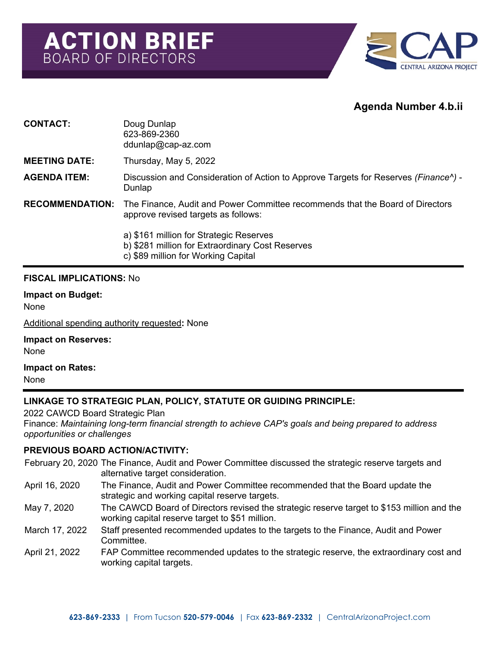

# **Agenda Number 4.b.ii**

| <b>CONTACT:</b>        | Doug Dunlap<br>623-869-2360<br>$ddunlap@cap-zz.com$                                                                                |
|------------------------|------------------------------------------------------------------------------------------------------------------------------------|
| <b>MEETING DATE:</b>   | Thursday, May 5, 2022                                                                                                              |
| <b>AGENDA ITEM:</b>    | Discussion and Consideration of Action to Approve Targets for Reserves (Finance <sup><math>\lambda</math></sup> ) -<br>Dunlap      |
| <b>RECOMMENDATION:</b> | The Finance, Audit and Power Committee recommends that the Board of Directors<br>approve revised targets as follows:               |
|                        | a) \$161 million for Strategic Reserves<br>b) \$281 million for Extraordinary Cost Reserves<br>c) \$89 million for Working Capital |

#### **FISCAL IMPLICATIONS:** No

**Impact on Budget:** None

Additional spending authority requested**:** None

**Impact on Reserves:** None

**Impact on Rates:**

None

## **LINKAGE TO STRATEGIC PLAN, POLICY, STATUTE OR GUIDING PRINCIPLE:**

2022 CAWCD Board Strategic Plan

Finance: *Maintaining long-term financial strength to achieve CAP's goals and being prepared to address opportunities or challenges*

#### **PREVIOUS BOARD ACTION/ACTIVITY:**

February 20, 2020 The Finance, Audit and Power Committee discussed the strategic reserve targets and alternative target consideration.

- April 16, 2020 The Finance, Audit and Power Committee recommended that the Board update the strategic and working capital reserve targets.
- May 7, 2020 The CAWCD Board of Directors revised the strategic reserve target to \$153 million and the working capital reserve target to \$51 million.
- March 17, 2022 Staff presented recommended updates to the targets to the Finance, Audit and Power Committee.
- April 21, 2022 FAP Committee recommended updates to the strategic reserve, the extraordinary cost and working capital targets.